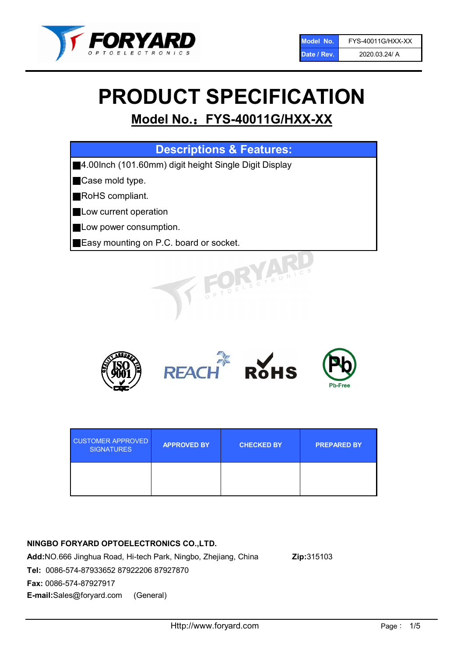

# PRODUCT SPECIFICATION

# Model No.: FYS-40011G/HXX-XX

| <b>Descriptions &amp; Features:</b>                   |
|-------------------------------------------------------|
| 4.00lnch (101.60mm) digit height Single Digit Display |
| Case mold type.                                       |
| RoHS compliant.                                       |
| Low current operation                                 |
| Low power consumption.                                |
| Easy mounting on P.C. board or socket.                |
| TOELECTRONIC                                          |



| <b>CUSTOMER APPROVED</b><br><b>SIGNATURES</b> | <b>APPROVED BY</b> | <b>CHECKED BY</b> | <b>PREPARED BY</b> |
|-----------------------------------------------|--------------------|-------------------|--------------------|
|                                               |                    |                   |                    |

# NINGBO FORYARD OPTOELECTRONICS CO.,LTD.

Add:NO.666 Jinghua Road, Hi-tech Park, Ningbo, Zhejiang, China Zip:315103 Tel: 0086-574-87933652 87922206 87927870 Fax: 0086-574-87927917 E-mail:Sales@foryard.com (General)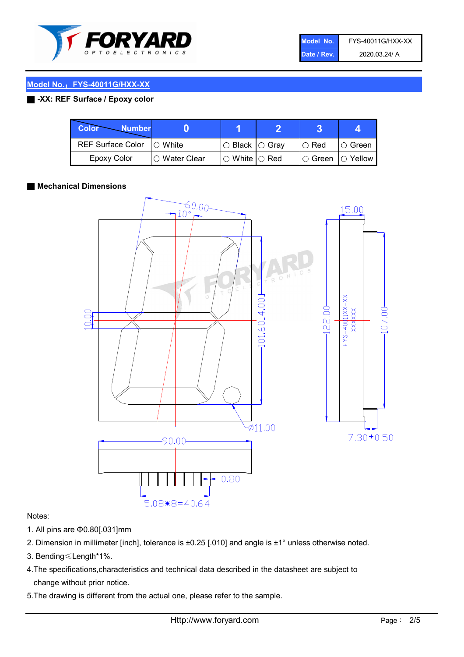

| Model No.   | FYS-40011G/HXX-XX |
|-------------|-------------------|
| Date / Rev. | 2020.03.24/ A     |

# Model No.: FYS-40011G/HXX-XX

## ■ -XX: REF Surface / Epoxy color

| <b>Color</b><br><b>Number</b> |                 |                           |             | д              |
|-------------------------------|-----------------|---------------------------|-------------|----------------|
| <b>REF Surface Color</b>      | $\bigcap$ White | ○ Black  ○ Gray           | $\circ$ Red | IO Green       |
| <b>Epoxy Color</b>            | ○ Water Clear   | $\circ$ White $\circ$ Red | I⊖ Green    | $\circ$ Yellow |

#### ■ Mechanical Dimensions



#### Notes:

- 1. All pins are Φ0.80[.031]mm
- 2. Dimension in millimeter [inch], tolerance is ±0.25 [.010] and angle is ±1° unless otherwise noted.
- 3. Bending≤Length\*1%.
- 4.The specifications,characteristics and technical data described in the datasheet are subject to change without prior notice.
- 5.The drawing is different from the actual one, please refer to the sample.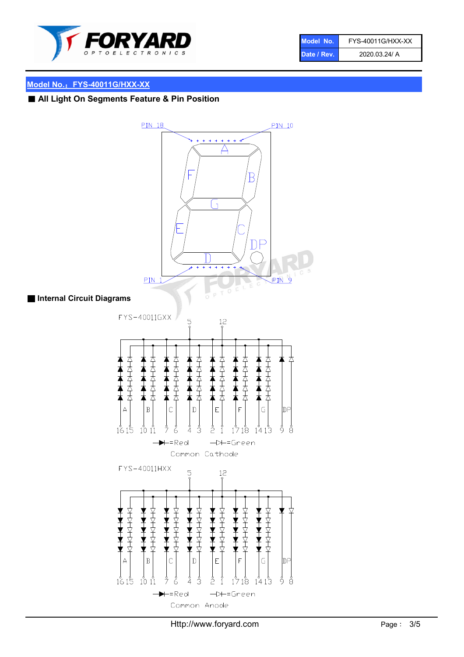

| Model No.   | FYS-40011G/HXX-XX |
|-------------|-------------------|
| Date / Rev. | 2020.03.24/ A     |

#### Model No.: FYS-40011G/HXX-XX

# ■ All Light On Segments Feature & Pin Position



#### ■ Internal Circuit Diagrams

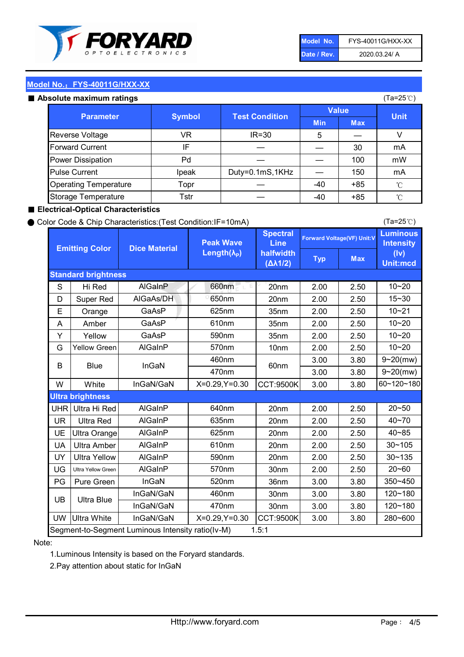

| Model No.   | FYS-40011G/HXX-XX |
|-------------|-------------------|
| Date / Rev. | 2020.03.24/ A     |

(Ta=25℃)

#### Model No.: FYS-40011G/HXX-XX

#### Absolute maximum ratings

| solute maximum ratings       |               |                       |              |            | (Ta=25℃)    |
|------------------------------|---------------|-----------------------|--------------|------------|-------------|
| <b>Parameter</b>             | <b>Symbol</b> | <b>Test Condition</b> | <b>Value</b> |            |             |
|                              |               |                       | <b>Min</b>   | <b>Max</b> | <b>Unit</b> |
| Reverse Voltage              | VR            | $IR = 30$             | 5            |            |             |
| <b>Forward Current</b>       | ΙF            |                       |              | 30         | mA          |
| Power Dissipation            | Pd            |                       |              | 100        | mW          |
| <b>Pulse Current</b>         | Ipeak         | Duty=0.1mS,1KHz       |              | 150        | mA          |
| <b>Operating Temperature</b> | Topr          |                       | $-40$        | $+85$      | °C          |
| Storage Temperature          | Tstr          |                       | $-40$        | $+85$      | °C          |

#### ■ Electrical-Optical Characteristics

#### ● Color Code & Chip Characteristics:(Test Condition:IF=10mA)

Typ Max S | Hi $\textsf{Red}$  | AlGaInP | 660nm LE 20nm | 2.00 | 2.50 D | Super Red | AIGaAs/DH | 650nm | 20nm | 2.00 | 2.50 E | Orange | GaAsP | 625nm | 35nm | 2.00 | 2.50 A | Amber | GaAsP | 610nm | 35nm | 2.00 | 2.50 Y | Yellow | GaAsP | 590nm | 35nm | 2.00 | 2.50 G Yellow Green AIGaInP | 570nm | 10nm | 2.00 | 2.50 3.00 3.80 3.00 3.80 W | White | InGaN/GaN | X=0.29,Y=0.30 |CCT:9500K| 3.00 | 3.80 UHR Ultra Hi Red | AlGaInP | 640nm | 20nm | 2.00 | 2.50 UR | Ultra Red | AlGaInP | 635nm | 20nm | 2.00 | 2.50 UE Ultra Orange | AIGaInP | 625nm | 20nm | 2.00 | 2.50 UA Ultra Amber | AIGaInP | 610nm | 20nm | 2.00 | 2.50  $UV$  Ultra Yellow  $\vert$  AlGaInP  $\vert$  590nm  $\vert$  20nm  $\vert$  2.00  $\vert$  2.50  $\text{UG}$  Ultra Yellow Green | AIGaInP | 570nm | 30nm | 2.00 | 2.50 PG Pure Green | InGaN | 520nm | 36nm | 3.00 | 3.80 30nm 3.00 3.80 30nm 3.00 3.80 UW |Ultra White | InGaN/GaN | X=0.29,Y=0.30 |CCT:9500K| 3.00 | 3.80 10~20 Standard brightness Forward Voltage(VF) Unit:V 15~30 10~20 10~20 625nm GaAsP 590nm **Emitting Color Dice Material** 10~21 610nm Luminous **Intensity** (Iv) Unit:mcd AlGainP 660nm GaAsP GaAsP AlGaAs/DH **Spectral** Line halfwidth (∆λ1/2) Peak Wave Length $(\lambda_{\rm P})$ UB 460nm 635nm AlGaInP AlGaInP AlGaInP InGaN/GaN AlGaInP | 570nm | 10nm | 2.00 | 2.50 | 10~20 30~105 30~135 460nm 520nm Ultra brightness **AlGaInP** AlGaInP 60nm AlGaInP 640nm Segment-to-Segment Luminous Intensity ratio(Iv-M) 1.5:1 610nm 9~20(mw) 350~450 470nm 120~180 120~180 Ultra Blue InGaN/GaN InGaN/GaN 9~20(mw) 20~50 280~600 570nm | 30nm | 2.00 | 2.50 | 20~60 470nm 590nm InGaN/GaN B Blue I InGaN 40~85 60~120~180 40~70

#### Note:

1.Luminous Intensity is based on the Foryard standards.

2.Pay attention about static for InGaN